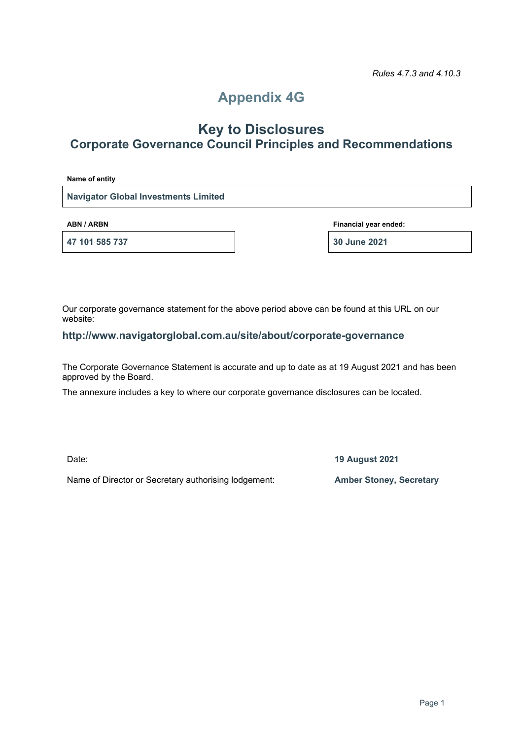# **Appendix 4G**

# **Key to Disclosures Corporate Governance Council Principles and Recommendations**

**Name of entity**

**Navigator Global Investments Limited**

**47 101 585 737 30 June 2021**

**ABN / ARBN Financial year ended:**

Our corporate governance statement for the above period above can be found at this URL on our website:

### **http://www.navigatorglobal.com.au/site/about/corporate-governance**

The Corporate Governance Statement is accurate and up to date as at 19 August 2021 and has been approved by the Board.

The annexure includes a key to where our corporate governance disclosures can be located.

Date: **19 August 2021**

Name of Director or Secretary authorising lodgement: **Amber Stoney, Secretary**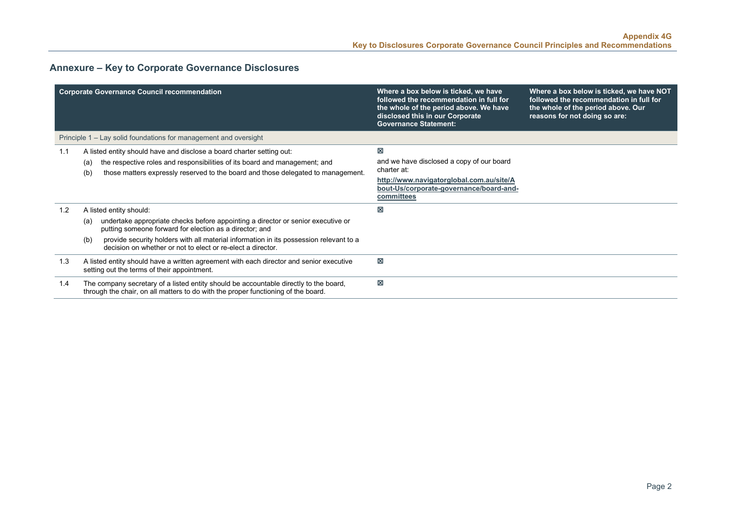## **Annexure – Key to Corporate Governance Disclosures**

|     | <b>Corporate Governance Council recommendation</b>                                                                                                                                                                                                                                                                 | Where a box below is ticked, we have<br>followed the recommendation in full for<br>the whole of the period above. We have<br>disclosed this in our Corporate<br><b>Governance Statement:</b> | Where a box below is ticked, we have NOT<br>followed the recommendation in full for<br>the whole of the period above. Our<br>reasons for not doing so are: |
|-----|--------------------------------------------------------------------------------------------------------------------------------------------------------------------------------------------------------------------------------------------------------------------------------------------------------------------|----------------------------------------------------------------------------------------------------------------------------------------------------------------------------------------------|------------------------------------------------------------------------------------------------------------------------------------------------------------|
|     | Principle 1 – Lay solid foundations for management and oversight                                                                                                                                                                                                                                                   |                                                                                                                                                                                              |                                                                                                                                                            |
| 1.1 | A listed entity should have and disclose a board charter setting out:<br>the respective roles and responsibilities of its board and management; and<br>(a)<br>those matters expressly reserved to the board and those delegated to management.<br>(b)                                                              | ⊠<br>and we have disclosed a copy of our board<br>charter at:<br>http://www.navigatorglobal.com.au/site/A<br>bout-Us/corporate-governance/board-and-<br>committees                           |                                                                                                                                                            |
| 1.2 | A listed entity should:                                                                                                                                                                                                                                                                                            | ⊠                                                                                                                                                                                            |                                                                                                                                                            |
|     | undertake appropriate checks before appointing a director or senior executive or<br>(a)<br>putting someone forward for election as a director; and<br>provide security holders with all material information in its possession relevant to a<br>(b)<br>decision on whether or not to elect or re-elect a director. |                                                                                                                                                                                              |                                                                                                                                                            |
| 1.3 | A listed entity should have a written agreement with each director and senior executive<br>setting out the terms of their appointment.                                                                                                                                                                             | $\boxtimes$                                                                                                                                                                                  |                                                                                                                                                            |
| 1.4 | The company secretary of a listed entity should be accountable directly to the board,<br>through the chair, on all matters to do with the proper functioning of the board.                                                                                                                                         | ⊠                                                                                                                                                                                            |                                                                                                                                                            |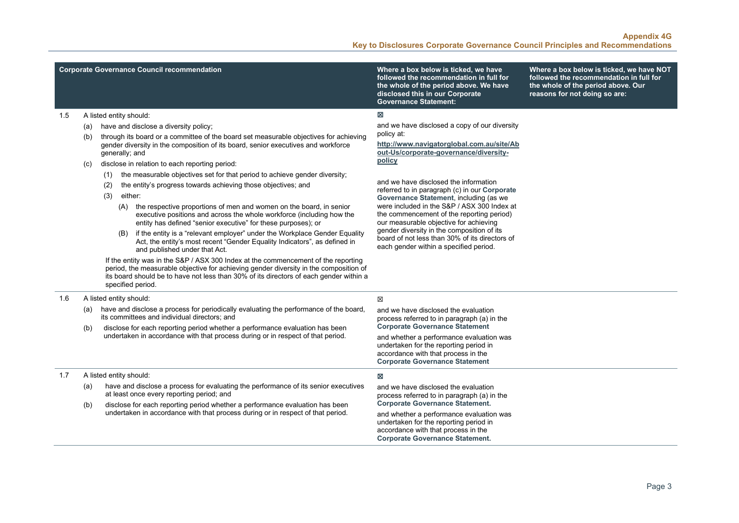|  |  | Corporate Governance Council recommendation |
|--|--|---------------------------------------------|
|  |  |                                             |

**Where a box below is ticked, we have followed the recommendation in full for the whole of the period above. We have disclosed this in our Corporate Governance Statement:**

**Where a box below is ticked, we have NOT followed the recommendation in full for the whole of the period above. Our reasons for not doing so are:**

### $\boxtimes$

and we have disclosed a copy of our diversity policy at:

**[http://www.navigatorglobal.com.au/site/Ab](http://www.navigatorglobal.com.au/site/About-Us/corporate-governance/diversity-policy) [out-Us/corporate-governance/diversity](http://www.navigatorglobal.com.au/site/About-Us/corporate-governance/diversity-policy)[policy](http://www.navigatorglobal.com.au/site/About-Us/corporate-governance/diversity-policy)**

and we have disclosed the information referred to in paragraph (c) in our **Corporate Governance Statement**, including (as we were included in the S&P / ASX 300 Index at the commencement of the reporting period) our measurable objective for achieving gender diversity in the composition of its board of not less than 30% of its directors of each gender within a specified period.

#### 1.5 A listed entity should:

- (a) have and disclose a diversity policy;
- (b) through its board or a committee of the board set measurable objectives for achieving gender diversity in the composition of its board, senior executives and workforce generally; and

#### (c) disclose in relation to each reporting period:

- (1) the measurable objectives set for that period to achieve gender diversity;
- (2) the entity's progress towards achieving those objectives; and
- (3) either:
	- (A) the respective proportions of men and women on the board, in senior executive positions and across the whole workforce (including how the entity has defined "senior executive" for these purposes); or
	- (B) if the entity is a "relevant employer" under the Workplace Gender Equality Act, the entity's most recent "Gender Equality Indicators", as defined in and published under that Act.

If the entity was in the S&P / ASX 300 Index at the commencement of the reporting period, the measurable objective for achieving gender diversity in the composition of its board should be to have not less than 30% of its directors of each gender within a specified period.

| 1.6 |                                                                                 | A listed entity should:                                                                                                                                                                                                                                                                                  | ⊠                                                                                                                                                                                                                                                                                                  |
|-----|---------------------------------------------------------------------------------|----------------------------------------------------------------------------------------------------------------------------------------------------------------------------------------------------------------------------------------------------------------------------------------------------------|----------------------------------------------------------------------------------------------------------------------------------------------------------------------------------------------------------------------------------------------------------------------------------------------------|
|     | (a)<br>(b)                                                                      | have and disclose a process for periodically evaluating the performance of the board,<br>its committees and individual directors; and<br>disclose for each reporting period whether a performance evaluation has been<br>undertaken in accordance with that process during or in respect of that period. | and we have disclosed the evaluation<br>process referred to in paragraph (a) in the<br><b>Corporate Governance Statement</b><br>and whether a performance evaluation was<br>undertaken for the reporting period in<br>accordance with that process in the<br><b>Corporate Governance Statement</b> |
| 1.7 |                                                                                 | A listed entity should:                                                                                                                                                                                                                                                                                  | 図                                                                                                                                                                                                                                                                                                  |
|     | (a)                                                                             | have and disclose a process for evaluating the performance of its senior executives<br>at least once every reporting period; and                                                                                                                                                                         | and we have disclosed the evaluation<br>process referred to in paragraph (a) in the                                                                                                                                                                                                                |
|     | (b)                                                                             | disclose for each reporting period whether a performance evaluation has been                                                                                                                                                                                                                             | <b>Corporate Governance Statement.</b>                                                                                                                                                                                                                                                             |
|     | undertaken in accordance with that process during or in respect of that period. | and whether a performance evaluation was<br>undertaken for the reporting period in<br>accordance with that process in the<br><b>Corporate Governance Statement.</b>                                                                                                                                      |                                                                                                                                                                                                                                                                                                    |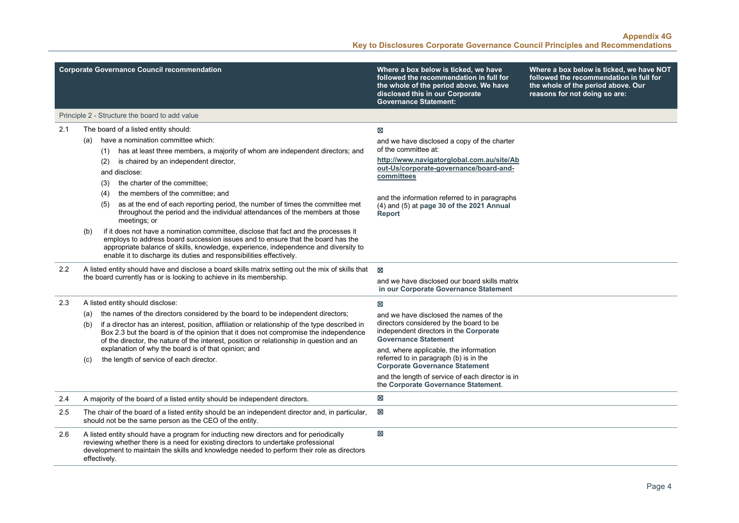|     | <b>Corporate Governance Council recommendation</b>                                                                                                                                                                                                                                                                                                                                                                                                                                                                                                                                                                                                                                                       | Where a box below is ticked, we have<br>followed the recommendation in full for<br>the whole of the period above. We have<br>disclosed this in our Corporate<br><b>Governance Statement:</b>                                                                                          | Where a box below is ticked, we have NOT<br>followed the recommendation in full for<br>the whole of the period above. Our<br>reasons for not doing so are: |
|-----|----------------------------------------------------------------------------------------------------------------------------------------------------------------------------------------------------------------------------------------------------------------------------------------------------------------------------------------------------------------------------------------------------------------------------------------------------------------------------------------------------------------------------------------------------------------------------------------------------------------------------------------------------------------------------------------------------------|---------------------------------------------------------------------------------------------------------------------------------------------------------------------------------------------------------------------------------------------------------------------------------------|------------------------------------------------------------------------------------------------------------------------------------------------------------|
|     | Principle 2 - Structure the board to add value                                                                                                                                                                                                                                                                                                                                                                                                                                                                                                                                                                                                                                                           |                                                                                                                                                                                                                                                                                       |                                                                                                                                                            |
| 2.1 | The board of a listed entity should:<br>have a nomination committee which:<br>(a)<br>has at least three members, a majority of whom are independent directors; and<br>(1)<br>is chaired by an independent director,<br>(2)<br>and disclose:<br>the charter of the committee;<br>(3)<br>the members of the committee; and<br>(4)<br>as at the end of each reporting period, the number of times the committee met<br>(5)<br>throughout the period and the individual attendances of the members at those<br>meetings; or<br>if it does not have a nomination committee, disclose that fact and the processes it<br>(b)<br>employs to address board succession issues and to ensure that the board has the | 図<br>and we have disclosed a copy of the charter<br>of the committee at:<br>http://www.navigatorglobal.com.au/site/Ab<br>out-Us/corporate-governance/board-and-<br>committees<br>and the information referred to in paragraphs<br>(4) and (5) at page 30 of the 2021 Annual<br>Report |                                                                                                                                                            |
| 2.2 | appropriate balance of skills, knowledge, experience, independence and diversity to<br>enable it to discharge its duties and responsibilities effectively.<br>A listed entity should have and disclose a board skills matrix setting out the mix of skills that<br>the board currently has or is looking to achieve in its membership.                                                                                                                                                                                                                                                                                                                                                                   | ⊠                                                                                                                                                                                                                                                                                     |                                                                                                                                                            |
|     |                                                                                                                                                                                                                                                                                                                                                                                                                                                                                                                                                                                                                                                                                                          | and we have disclosed our board skills matrix<br>in our Corporate Governance Statement                                                                                                                                                                                                |                                                                                                                                                            |
| 2.3 | A listed entity should disclose:                                                                                                                                                                                                                                                                                                                                                                                                                                                                                                                                                                                                                                                                         | X                                                                                                                                                                                                                                                                                     |                                                                                                                                                            |
|     | the names of the directors considered by the board to be independent directors;<br>(a)<br>if a director has an interest, position, affiliation or relationship of the type described in<br>(b)<br>Box 2.3 but the board is of the opinion that it does not compromise the independence<br>of the director, the nature of the interest, position or relationship in question and an                                                                                                                                                                                                                                                                                                                       | and we have disclosed the names of the<br>directors considered by the board to be<br>independent directors in the Corporate<br><b>Governance Statement</b>                                                                                                                            |                                                                                                                                                            |
|     | explanation of why the board is of that opinion; and<br>the length of service of each director.<br>(C)                                                                                                                                                                                                                                                                                                                                                                                                                                                                                                                                                                                                   | and, where applicable, the information<br>referred to in paragraph (b) is in the<br><b>Corporate Governance Statement</b>                                                                                                                                                             |                                                                                                                                                            |
|     |                                                                                                                                                                                                                                                                                                                                                                                                                                                                                                                                                                                                                                                                                                          | and the length of service of each director is in<br>the Corporate Governance Statement.                                                                                                                                                                                               |                                                                                                                                                            |
| 2.4 | A majority of the board of a listed entity should be independent directors.                                                                                                                                                                                                                                                                                                                                                                                                                                                                                                                                                                                                                              | 区                                                                                                                                                                                                                                                                                     |                                                                                                                                                            |
| 2.5 | The chair of the board of a listed entity should be an independent director and, in particular,<br>should not be the same person as the CEO of the entity.                                                                                                                                                                                                                                                                                                                                                                                                                                                                                                                                               | $\boxtimes$                                                                                                                                                                                                                                                                           |                                                                                                                                                            |
| 2.6 | A listed entity should have a program for inducting new directors and for periodically<br>reviewing whether there is a need for existing directors to undertake professional<br>development to maintain the skills and knowledge needed to perform their role as directors<br>effectivelv.                                                                                                                                                                                                                                                                                                                                                                                                               | $\boxtimes$                                                                                                                                                                                                                                                                           |                                                                                                                                                            |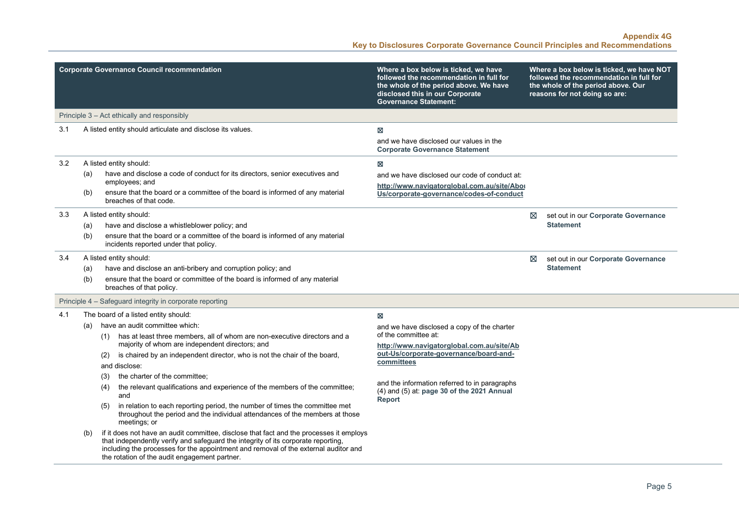|     |     | <b>Corporate Governance Council recommendation</b>                                                                                                                                                                                                                                                                   | Where a box below is ticked, we have<br>followed the recommendation in full for<br>the whole of the period above. We have<br>disclosed this in our Corporate<br><b>Governance Statement:</b> |   | Where a box below is ticked, we have NOT<br>followed the recommendation in full for<br>the whole of the period above. Our<br>reasons for not doing so are: |
|-----|-----|----------------------------------------------------------------------------------------------------------------------------------------------------------------------------------------------------------------------------------------------------------------------------------------------------------------------|----------------------------------------------------------------------------------------------------------------------------------------------------------------------------------------------|---|------------------------------------------------------------------------------------------------------------------------------------------------------------|
|     |     | Principle 3 – Act ethically and responsibly                                                                                                                                                                                                                                                                          |                                                                                                                                                                                              |   |                                                                                                                                                            |
| 3.1 |     | A listed entity should articulate and disclose its values.                                                                                                                                                                                                                                                           | X                                                                                                                                                                                            |   |                                                                                                                                                            |
|     |     |                                                                                                                                                                                                                                                                                                                      | and we have disclosed our values in the<br><b>Corporate Governance Statement</b>                                                                                                             |   |                                                                                                                                                            |
| 3.2 |     | A listed entity should:                                                                                                                                                                                                                                                                                              | X                                                                                                                                                                                            |   |                                                                                                                                                            |
|     | (a) | have and disclose a code of conduct for its directors, senior executives and<br>employees; and                                                                                                                                                                                                                       | and we have disclosed our code of conduct at:                                                                                                                                                |   |                                                                                                                                                            |
|     | (b) | ensure that the board or a committee of the board is informed of any material<br>breaches of that code.                                                                                                                                                                                                              | http://www.navigatorglobal.com.au/site/Abor<br>Us/corporate-governance/codes-of-conduct                                                                                                      |   |                                                                                                                                                            |
| 3.3 |     | A listed entity should:                                                                                                                                                                                                                                                                                              |                                                                                                                                                                                              | ⊠ | set out in our Corporate Governance                                                                                                                        |
|     | (a) | have and disclose a whistleblower policy; and                                                                                                                                                                                                                                                                        |                                                                                                                                                                                              |   | <b>Statement</b>                                                                                                                                           |
|     | (b) | ensure that the board or a committee of the board is informed of any material<br>incidents reported under that policy.                                                                                                                                                                                               |                                                                                                                                                                                              |   |                                                                                                                                                            |
| 3.4 |     | A listed entity should:                                                                                                                                                                                                                                                                                              |                                                                                                                                                                                              | ⊠ | set out in our Corporate Governance                                                                                                                        |
|     | (a) | have and disclose an anti-bribery and corruption policy; and                                                                                                                                                                                                                                                         |                                                                                                                                                                                              |   | <b>Statement</b>                                                                                                                                           |
|     | (b) | ensure that the board or committee of the board is informed of any material<br>breaches of that policy.                                                                                                                                                                                                              |                                                                                                                                                                                              |   |                                                                                                                                                            |
|     |     | Principle 4 - Safeguard integrity in corporate reporting                                                                                                                                                                                                                                                             |                                                                                                                                                                                              |   |                                                                                                                                                            |
| 4.1 |     | The board of a listed entity should:                                                                                                                                                                                                                                                                                 | $\boxtimes$                                                                                                                                                                                  |   |                                                                                                                                                            |
|     | (a) | have an audit committee which:                                                                                                                                                                                                                                                                                       | and we have disclosed a copy of the charter                                                                                                                                                  |   |                                                                                                                                                            |
|     |     | has at least three members, all of whom are non-executive directors and a<br>(1)<br>majority of whom are independent directors; and                                                                                                                                                                                  | of the committee at:<br>http://www.navigatorglobal.com.au/site/Ab                                                                                                                            |   |                                                                                                                                                            |
|     |     | is chaired by an independent director, who is not the chair of the board,<br>(2)                                                                                                                                                                                                                                     | out-Us/corporate-governance/board-and-                                                                                                                                                       |   |                                                                                                                                                            |
|     |     | and disclose:                                                                                                                                                                                                                                                                                                        | committees                                                                                                                                                                                   |   |                                                                                                                                                            |
|     |     | the charter of the committee;<br>(3)                                                                                                                                                                                                                                                                                 |                                                                                                                                                                                              |   |                                                                                                                                                            |
|     |     | the relevant qualifications and experience of the members of the committee;<br>(4)<br>and                                                                                                                                                                                                                            | and the information referred to in paragraphs<br>(4) and (5) at: page 30 of the 2021 Annual<br><b>Report</b>                                                                                 |   |                                                                                                                                                            |
|     |     | in relation to each reporting period, the number of times the committee met<br>(5)<br>throughout the period and the individual attendances of the members at those<br>meetings; or                                                                                                                                   |                                                                                                                                                                                              |   |                                                                                                                                                            |
|     | (b) | if it does not have an audit committee, disclose that fact and the processes it employs<br>that independently verify and safeguard the integrity of its corporate reporting,<br>including the processes for the appointment and removal of the external auditor and<br>the rotation of the audit engagement partner. |                                                                                                                                                                                              |   |                                                                                                                                                            |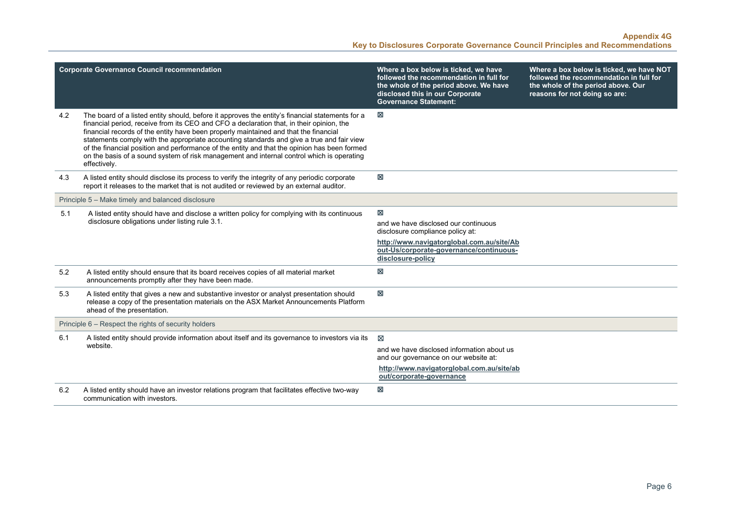| <b>Corporate Governance Council recommendation</b>   |                                                                                                                                                                                                                                                                                                                                                                                                                                                                                                                                                                                               | Where a box below is ticked, we have<br>followed the recommendation in full for<br>the whole of the period above. We have<br>disclosed this in our Corporate<br><b>Governance Statement:</b> | Where a box below is ticked, we have NOT<br>followed the recommendation in full for<br>the whole of the period above. Our<br>reasons for not doing so are: |
|------------------------------------------------------|-----------------------------------------------------------------------------------------------------------------------------------------------------------------------------------------------------------------------------------------------------------------------------------------------------------------------------------------------------------------------------------------------------------------------------------------------------------------------------------------------------------------------------------------------------------------------------------------------|----------------------------------------------------------------------------------------------------------------------------------------------------------------------------------------------|------------------------------------------------------------------------------------------------------------------------------------------------------------|
| 4.2                                                  | The board of a listed entity should, before it approves the entity's financial statements for a<br>financial period, receive from its CEO and CFO a declaration that, in their opinion, the<br>financial records of the entity have been properly maintained and that the financial<br>statements comply with the appropriate accounting standards and give a true and fair view<br>of the financial position and performance of the entity and that the opinion has been formed<br>on the basis of a sound system of risk management and internal control which is operating<br>effectively. | $\boxtimes$                                                                                                                                                                                  |                                                                                                                                                            |
| 4.3                                                  | A listed entity should disclose its process to verify the integrity of any periodic corporate<br>report it releases to the market that is not audited or reviewed by an external auditor.                                                                                                                                                                                                                                                                                                                                                                                                     | $\boxtimes$                                                                                                                                                                                  |                                                                                                                                                            |
|                                                      | Principle 5 - Make timely and balanced disclosure                                                                                                                                                                                                                                                                                                                                                                                                                                                                                                                                             |                                                                                                                                                                                              |                                                                                                                                                            |
| 5.1                                                  | A listed entity should have and disclose a written policy for complying with its continuous<br>disclosure obligations under listing rule 3.1.                                                                                                                                                                                                                                                                                                                                                                                                                                                 | $\boxtimes$                                                                                                                                                                                  |                                                                                                                                                            |
|                                                      |                                                                                                                                                                                                                                                                                                                                                                                                                                                                                                                                                                                               | and we have disclosed our continuous<br>disclosure compliance policy at:                                                                                                                     |                                                                                                                                                            |
|                                                      |                                                                                                                                                                                                                                                                                                                                                                                                                                                                                                                                                                                               | http://www.navigatorglobal.com.au/site/Ab<br>out-Us/corporate-governance/continuous-<br>disclosure-policy                                                                                    |                                                                                                                                                            |
| 5.2                                                  | A listed entity should ensure that its board receives copies of all material market<br>announcements promptly after they have been made.                                                                                                                                                                                                                                                                                                                                                                                                                                                      | ×                                                                                                                                                                                            |                                                                                                                                                            |
| 5.3                                                  | A listed entity that gives a new and substantive investor or analyst presentation should<br>release a copy of the presentation materials on the ASX Market Announcements Platform<br>ahead of the presentation.                                                                                                                                                                                                                                                                                                                                                                               | $\boxtimes$                                                                                                                                                                                  |                                                                                                                                                            |
| Principle 6 - Respect the rights of security holders |                                                                                                                                                                                                                                                                                                                                                                                                                                                                                                                                                                                               |                                                                                                                                                                                              |                                                                                                                                                            |
| 6.1                                                  | A listed entity should provide information about itself and its governance to investors via its<br>website.                                                                                                                                                                                                                                                                                                                                                                                                                                                                                   | ⊠                                                                                                                                                                                            |                                                                                                                                                            |
|                                                      |                                                                                                                                                                                                                                                                                                                                                                                                                                                                                                                                                                                               | and we have disclosed information about us<br>and our governance on our website at:                                                                                                          |                                                                                                                                                            |
|                                                      |                                                                                                                                                                                                                                                                                                                                                                                                                                                                                                                                                                                               | http://www.navigatorglobal.com.au/site/ab<br>out/corporate-governance                                                                                                                        |                                                                                                                                                            |
| 6.2                                                  | A listed entity should have an investor relations program that facilitates effective two-way<br>communication with investors.                                                                                                                                                                                                                                                                                                                                                                                                                                                                 | 区                                                                                                                                                                                            |                                                                                                                                                            |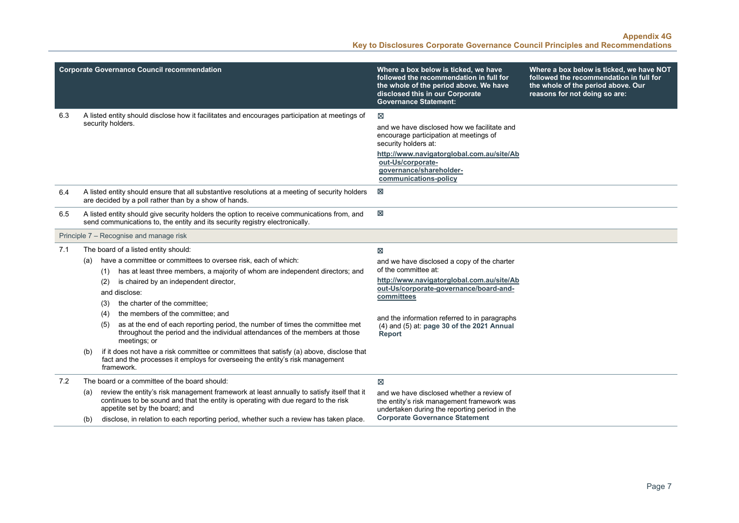|     | <b>Corporate Governance Council recommendation</b>                                                                                                                                                                       | Where a box below is ticked, we have                                                                                                                 | Where a box below is ticked, we have NOT                                                                       |
|-----|--------------------------------------------------------------------------------------------------------------------------------------------------------------------------------------------------------------------------|------------------------------------------------------------------------------------------------------------------------------------------------------|----------------------------------------------------------------------------------------------------------------|
|     |                                                                                                                                                                                                                          | followed the recommendation in full for<br>the whole of the period above. We have<br>disclosed this in our Corporate<br><b>Governance Statement:</b> | followed the recommendation in full for<br>the whole of the period above. Our<br>reasons for not doing so are: |
| 6.3 | A listed entity should disclose how it facilitates and encourages participation at meetings of                                                                                                                           | ⊠                                                                                                                                                    |                                                                                                                |
|     | security holders.                                                                                                                                                                                                        | and we have disclosed how we facilitate and<br>encourage participation at meetings of<br>security holders at:                                        |                                                                                                                |
|     |                                                                                                                                                                                                                          | http://www.navigatorglobal.com.au/site/Ab<br>out-Us/corporate-<br>governance/shareholder-<br>communications-policy                                   |                                                                                                                |
| 6.4 | A listed entity should ensure that all substantive resolutions at a meeting of security holders<br>are decided by a poll rather than by a show of hands.                                                                 | ⊠                                                                                                                                                    |                                                                                                                |
| 6.5 | A listed entity should give security holders the option to receive communications from, and<br>send communications to, the entity and its security registry electronically.                                              | 図                                                                                                                                                    |                                                                                                                |
|     | Principle 7 – Recognise and manage risk                                                                                                                                                                                  |                                                                                                                                                      |                                                                                                                |
| 7.1 | The board of a listed entity should:                                                                                                                                                                                     | 図                                                                                                                                                    |                                                                                                                |
|     | have a committee or committees to oversee risk, each of which:<br>(a)                                                                                                                                                    | and we have disclosed a copy of the charter                                                                                                          |                                                                                                                |
|     | has at least three members, a majority of whom are independent directors; and<br>(1)                                                                                                                                     | of the committee at:                                                                                                                                 |                                                                                                                |
|     | is chaired by an independent director,<br>(2)                                                                                                                                                                            | http://www.navigatorglobal.com.au/site/Ab<br>out-Us/corporate-governance/board-and-<br>committees                                                    |                                                                                                                |
|     | and disclose:                                                                                                                                                                                                            |                                                                                                                                                      |                                                                                                                |
|     | the charter of the committee;<br>(3)                                                                                                                                                                                     |                                                                                                                                                      |                                                                                                                |
|     | the members of the committee; and<br>(4)                                                                                                                                                                                 | and the information referred to in paragraphs<br>(4) and (5) at: page 30 of the 2021 Annual<br><b>Report</b>                                         |                                                                                                                |
|     | as at the end of each reporting period, the number of times the committee met<br>(5)<br>throughout the period and the individual attendances of the members at those<br>meetings; or                                     |                                                                                                                                                      |                                                                                                                |
|     | if it does not have a risk committee or committees that satisfy (a) above, disclose that<br>(b)<br>fact and the processes it employs for overseeing the entity's risk management<br>framework.                           |                                                                                                                                                      |                                                                                                                |
| 7.2 | The board or a committee of the board should:                                                                                                                                                                            | X                                                                                                                                                    |                                                                                                                |
|     | review the entity's risk management framework at least annually to satisfy itself that it<br>(a)<br>continues to be sound and that the entity is operating with due regard to the risk<br>appetite set by the board; and | and we have disclosed whether a review of<br>the entity's risk management framework was<br>undertaken during the reporting period in the             |                                                                                                                |
|     | disclose, in relation to each reporting period, whether such a review has taken place.<br>(b)                                                                                                                            | <b>Corporate Governance Statement</b>                                                                                                                |                                                                                                                |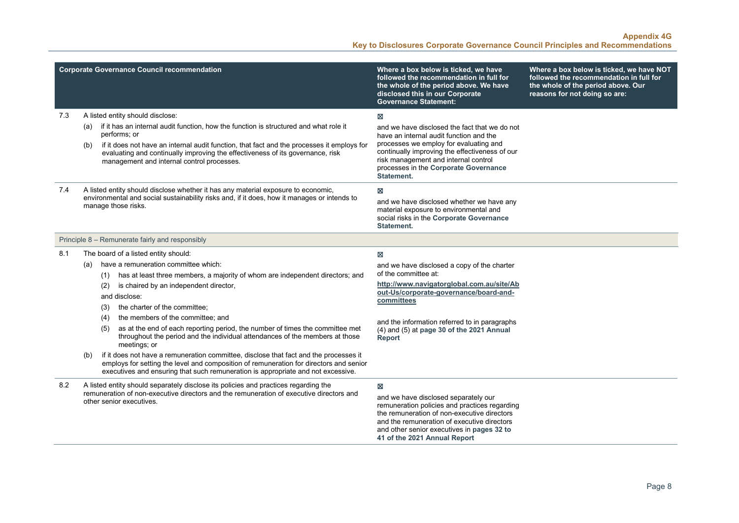| <b>Corporate Governance Council recommendation</b> |                                                                                                                                                                                                                                                                                                                                                                                                                                                                                                                                                                                                                                                                                                                                                                                                         | Where a box below is ticked, we have<br>followed the recommendation in full for<br>the whole of the period above. We have<br>disclosed this in our Corporate<br><b>Governance Statement:</b>                                                                                             | Where a box below is ticked, we have NOT<br>followed the recommendation in full for<br>the whole of the period above. Our<br>reasons for not doing so are: |
|----------------------------------------------------|---------------------------------------------------------------------------------------------------------------------------------------------------------------------------------------------------------------------------------------------------------------------------------------------------------------------------------------------------------------------------------------------------------------------------------------------------------------------------------------------------------------------------------------------------------------------------------------------------------------------------------------------------------------------------------------------------------------------------------------------------------------------------------------------------------|------------------------------------------------------------------------------------------------------------------------------------------------------------------------------------------------------------------------------------------------------------------------------------------|------------------------------------------------------------------------------------------------------------------------------------------------------------|
| 7.3                                                | A listed entity should disclose:<br>if it has an internal audit function, how the function is structured and what role it<br>(a)<br>performs; or<br>if it does not have an internal audit function, that fact and the processes it employs for<br>(b)<br>evaluating and continually improving the effectiveness of its governance, risk<br>management and internal control processes.                                                                                                                                                                                                                                                                                                                                                                                                                   | X<br>and we have disclosed the fact that we do not<br>have an internal audit function and the<br>processes we employ for evaluating and<br>continually improving the effectiveness of our<br>risk management and internal control<br>processes in the Corporate Governance<br>Statement. |                                                                                                                                                            |
| 7.4                                                | A listed entity should disclose whether it has any material exposure to economic,<br>environmental and social sustainability risks and, if it does, how it manages or intends to<br>manage those risks.                                                                                                                                                                                                                                                                                                                                                                                                                                                                                                                                                                                                 | X<br>and we have disclosed whether we have any<br>material exposure to environmental and<br>social risks in the Corporate Governance<br><b>Statement.</b>                                                                                                                                |                                                                                                                                                            |
|                                                    | Principle 8 - Remunerate fairly and responsibly                                                                                                                                                                                                                                                                                                                                                                                                                                                                                                                                                                                                                                                                                                                                                         |                                                                                                                                                                                                                                                                                          |                                                                                                                                                            |
| 8.1                                                | The board of a listed entity should:<br>have a remuneration committee which:<br>(a)<br>has at least three members, a majority of whom are independent directors; and<br>(1)<br>is chaired by an independent director,<br>(2)<br>and disclose:<br>the charter of the committee;<br>(3)<br>the members of the committee; and<br>(4)<br>as at the end of each reporting period, the number of times the committee met<br>(5)<br>throughout the period and the individual attendances of the members at those<br>meetings; or<br>if it does not have a remuneration committee, disclose that fact and the processes it<br>(b)<br>employs for setting the level and composition of remuneration for directors and senior<br>executives and ensuring that such remuneration is appropriate and not excessive. | X<br>and we have disclosed a copy of the charter<br>of the committee at:<br>http://www.navigatorglobal.com.au/site/Ab<br>out-Us/corporate-governance/board-and-<br>committees<br>and the information referred to in paragraphs<br>(4) and (5) at page 30 of the 2021 Annual<br>Report    |                                                                                                                                                            |
| 8.2                                                | A listed entity should separately disclose its policies and practices regarding the<br>remuneration of non-executive directors and the remuneration of executive directors and<br>other senior executives.                                                                                                                                                                                                                                                                                                                                                                                                                                                                                                                                                                                              | ×<br>and we have disclosed separately our<br>remuneration policies and practices regarding<br>the remuneration of non-executive directors<br>and the remuneration of executive directors<br>and other senior executives in pages 32 to<br>41 of the 2021 Annual Report                   |                                                                                                                                                            |